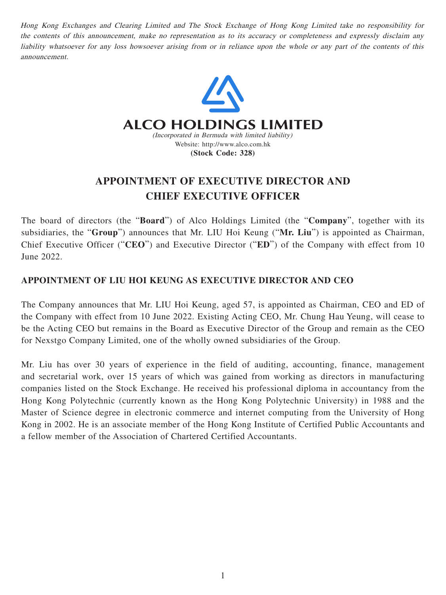Hong Kong Exchanges and Clearing Limited and The Stock Exchange of Hong Kong Limited take no responsibility for the contents of this announcement, make no representation as to its accuracy or completeness and expressly disclaim any liability whatsoever for any loss howsoever arising from or in reliance upon the whole or any part of the contents of this announcement.



## **APPOINTMENT OF EXECUTIVE DIRECTOR AND CHIEF EXECUTIVE OFFICER**

The board of directors (the "**Board**") of Alco Holdings Limited (the "**Company**", together with its subsidiaries, the "**Group**") announces that Mr. LIU Hoi Keung ("**Mr. Liu**") is appointed as Chairman, Chief Executive Officer ("**CEO**") and Executive Director ("**ED**") of the Company with effect from 10 June 2022.

## **APPOINTMENT OF LIU HOI KEUNG AS EXECUTIVE DIRECTOR AND CEO**

The Company announces that Mr. LIU Hoi Keung, aged 57, is appointed as Chairman, CEO and ED of the Company with effect from 10 June 2022. Existing Acting CEO, Mr. Chung Hau Yeung, will cease to be the Acting CEO but remains in the Board as Executive Director of the Group and remain as the CEO for Nexstgo Company Limited, one of the wholly owned subsidiaries of the Group.

Mr. Liu has over 30 years of experience in the field of auditing, accounting, finance, management and secretarial work, over 15 years of which was gained from working as directors in manufacturing companies listed on the Stock Exchange. He received his professional diploma in accountancy from the Hong Kong Polytechnic (currently known as the Hong Kong Polytechnic University) in 1988 and the Master of Science degree in electronic commerce and internet computing from the University of Hong Kong in 2002. He is an associate member of the Hong Kong Institute of Certified Public Accountants and a fellow member of the Association of Chartered Certified Accountants.